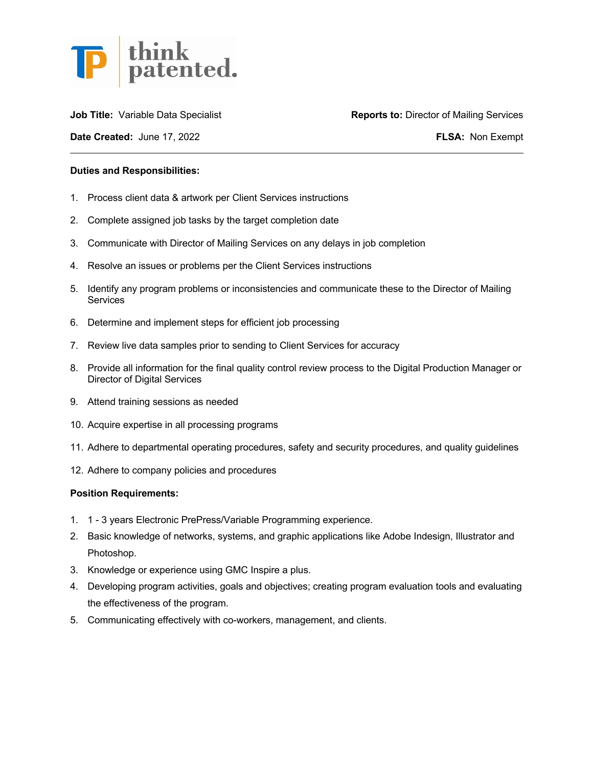

**Date Created:** June 17, 2022 **FLSA:** Non Exempt

**Job Title:** Variable Data Specialist **Reports to: Director of Mailing Services** 

## **Duties and Responsibilities:**

- 1. Process client data & artwork per Client Services instructions
- 2. Complete assigned job tasks by the target completion date
- 3. Communicate with Director of Mailing Services on any delays in job completion
- 4. Resolve an issues or problems per the Client Services instructions
- 5. Identify any program problems or inconsistencies and communicate these to the Director of Mailing **Services**
- 6. Determine and implement steps for efficient job processing
- 7. Review live data samples prior to sending to Client Services for accuracy
- 8. Provide all information for the final quality control review process to the Digital Production Manager or Director of Digital Services
- 9. Attend training sessions as needed
- 10. Acquire expertise in all processing programs
- 11. Adhere to departmental operating procedures, safety and security procedures, and quality guidelines
- 12. Adhere to company policies and procedures

## **Position Requirements:**

- 1. 1 3 years Electronic PrePress/Variable Programming experience.
- 2. Basic knowledge of networks, systems, and graphic applications like Adobe Indesign, Illustrator and Photoshop.
- 3. Knowledge or experience using GMC Inspire a plus.
- 4. Developing program activities, goals and objectives; creating program evaluation tools and evaluating the effectiveness of the program.
- 5. Communicating effectively with co-workers, management, and clients.